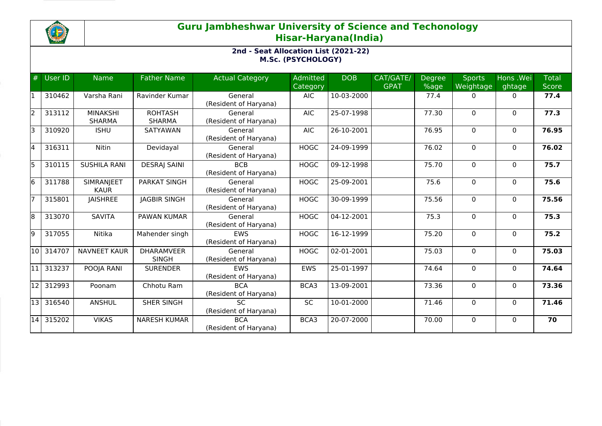

## **Guru Jambheshwar University of Science and Techonology Hisar-Haryana(India)**

## **2nd - Seat Allocation List (2021-22) M.Sc. (PSYCHOLOGY)**

| #     | User ID | <b>Name</b>                      | <b>Father Name</b>                | <b>Actual Category</b>              | Admitted<br>Category | <b>DOB</b>   | CAT/GATE/<br><b>GPAT</b> | <b>Degree</b><br>%age | <b>Sports</b><br>Weightage | Hons .Wei<br>ghtage | <b>Total</b><br>Score |
|-------|---------|----------------------------------|-----------------------------------|-------------------------------------|----------------------|--------------|--------------------------|-----------------------|----------------------------|---------------------|-----------------------|
|       | 310462  | Varsha Rani                      | Ravinder Kumar                    | General<br>(Resident of Haryana)    | <b>AIC</b>           | 10-03-2000   |                          | 77.4                  | $\Omega$                   | $\Omega$            | 77.4                  |
| l2    | 313112  | <b>MINAKSHI</b><br><b>SHARMA</b> | <b>ROHTASH</b><br><b>SHARMA</b>   | General<br>(Resident of Haryana)    | <b>AIC</b>           | 25-07-1998   |                          | 77.30                 | $\Omega$                   | $\Omega$            | 77.3                  |
| I٦    | 310920  | <b>ISHU</b>                      | SATYAWAN                          | General<br>(Resident of Haryana)    | <b>AIC</b>           | 26-10-2001   |                          | 76.95                 | $\mathbf 0$                | $\Omega$            | 76.95                 |
| 4     | 316311  | Nitin                            | Devidayal                         | General<br>(Resident of Haryana)    | <b>HOGC</b>          | 24-09-1999   |                          | 76.02                 | $\Omega$                   | $\mathbf{0}$        | 76.02                 |
| l5    | 310115  | <b>SUSHILA RANI</b>              | <b>DESRAJ SAINI</b>               | <b>BCB</b><br>(Resident of Haryana) | <b>HOGC</b>          | 09-12-1998   |                          | 75.70                 | $\Omega$                   | $\Omega$            | 75.7                  |
| l6    | 311788  | <b>SIMRANJEET</b><br><b>KAUR</b> | <b>PARKAT SINGH</b>               | General<br>(Resident of Haryana)    | <b>HOGC</b>          | 25-09-2001   |                          | 75.6                  | 0                          | $\mathbf{0}$        | 75.6                  |
|       | 315801  | <b>JAISHREE</b>                  | <b>JAGBIR SINGH</b>               | General<br>(Resident of Haryana)    | <b>HOGC</b>          | 30-09-1999   |                          | 75.56                 | $\Omega$                   | $\Omega$            | 75.56                 |
| 18    | 313070  | <b>SAVITA</b>                    | <b>PAWAN KUMAR</b>                | General<br>(Resident of Haryana)    | <b>HOGC</b>          | 04-12-2001   |                          | 75.3                  | 0                          | $\mathbf{0}$        | 75.3                  |
| l9    | 317055  | Nitika                           | Mahender singh                    | <b>EWS</b><br>(Resident of Haryana) | <b>HOGC</b>          | 16-12-1999   |                          | 75.20                 | $\Omega$                   | $\mathbf{0}$        | 75.2                  |
| l10 l | 314707  | <b>NAVNEET KAUR</b>              | <b>DHARAMVEER</b><br><b>SINGH</b> | General<br>(Resident of Haryana)    | <b>HOGC</b>          | 02-01-2001   |                          | 75.03                 | $\mathbf 0$                | $\mathbf{0}$        | 75.03                 |
| l11   | 313237  | POOJA RANI                       | <b>SURENDER</b>                   | <b>EWS</b><br>(Resident of Haryana) | <b>EWS</b>           | 25-01-1997   |                          | 74.64                 | $\mathbf 0$                | $\mathbf{0}$        | 74.64                 |
| 12    | 312993  | Poonam                           | Chhotu Ram                        | <b>BCA</b><br>(Resident of Haryana) | BCA3                 | $13-09-2001$ |                          | 73.36                 | $\Omega$                   | $\Omega$            | 73.36                 |
| l13 l | 316540  | <b>ANSHUL</b>                    | <b>SHER SINGH</b>                 | <b>SC</b><br>(Resident of Haryana)  | <b>SC</b>            | 10-01-2000   |                          | 71.46                 | 0                          | $\mathbf{0}$        | 71.46                 |
| 14    | 315202  | <b>VIKAS</b>                     | <b>NARESH KUMAR</b>               | <b>BCA</b><br>(Resident of Haryana) | BCA3                 | 20-07-2000   |                          | 70.00                 | 0                          | $\Omega$            | 70                    |